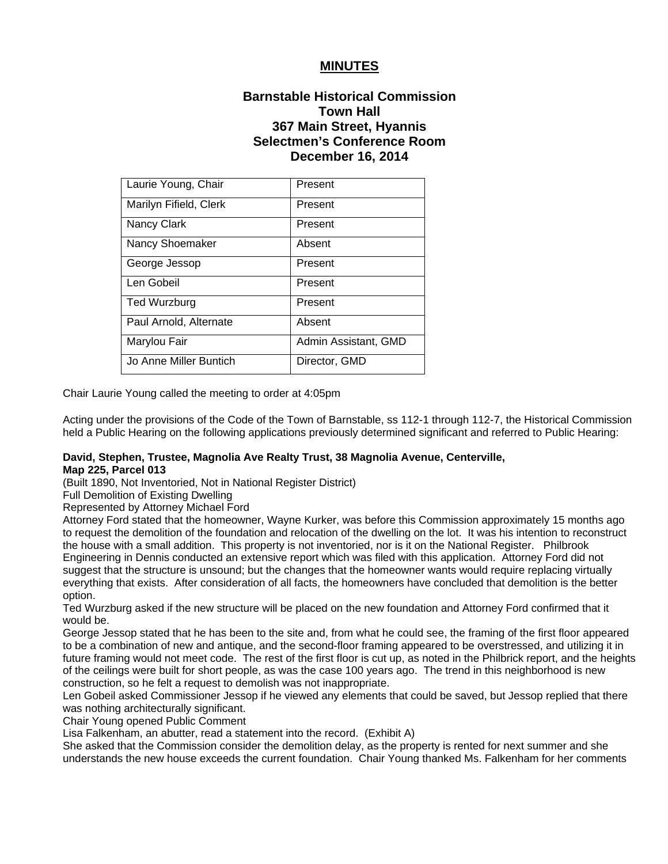# **MINUTES**

# **Barnstable Historical Commission Town Hall 367 Main Street, Hyannis Selectmen's Conference Room December 16, 2014**

| Laurie Young, Chair    | Present              |
|------------------------|----------------------|
| Marilyn Fifield, Clerk | Present              |
| Nancy Clark            | Present              |
| Nancy Shoemaker        | Absent               |
| George Jessop          | Present              |
| Len Gobeil             | Present              |
| <b>Ted Wurzburg</b>    | Present              |
| Paul Arnold, Alternate | Absent               |
| Marylou Fair           | Admin Assistant, GMD |
| Jo Anne Miller Buntich | Director, GMD        |

Chair Laurie Young called the meeting to order at 4:05pm

Acting under the provisions of the Code of the Town of Barnstable, ss 112-1 through 112-7, the Historical Commission held a Public Hearing on the following applications previously determined significant and referred to Public Hearing:

## **David, Stephen, Trustee, Magnolia Ave Realty Trust, 38 Magnolia Avenue, Centerville, Map 225, Parcel 013**

(Built 1890, Not Inventoried, Not in National Register District)

Full Demolition of Existing Dwelling

Represented by Attorney Michael Ford

Attorney Ford stated that the homeowner, Wayne Kurker, was before this Commission approximately 15 months ago to request the demolition of the foundation and relocation of the dwelling on the lot. It was his intention to reconstruct the house with a small addition. This property is not inventoried, nor is it on the National Register. Philbrook Engineering in Dennis conducted an extensive report which was filed with this application. Attorney Ford did not suggest that the structure is unsound; but the changes that the homeowner wants would require replacing virtually everything that exists. After consideration of all facts, the homeowners have concluded that demolition is the better option.

Ted Wurzburg asked if the new structure will be placed on the new foundation and Attorney Ford confirmed that it would be.

George Jessop stated that he has been to the site and, from what he could see, the framing of the first floor appeared to be a combination of new and antique, and the second-floor framing appeared to be overstressed, and utilizing it in future framing would not meet code. The rest of the first floor is cut up, as noted in the Philbrick report, and the heights of the ceilings were built for short people, as was the case 100 years ago. The trend in this neighborhood is new construction, so he felt a request to demolish was not inappropriate.

Len Gobeil asked Commissioner Jessop if he viewed any elements that could be saved, but Jessop replied that there was nothing architecturally significant.

Chair Young opened Public Comment

Lisa Falkenham, an abutter, read a statement into the record. (Exhibit A)

She asked that the Commission consider the demolition delay, as the property is rented for next summer and she understands the new house exceeds the current foundation. Chair Young thanked Ms. Falkenham for her comments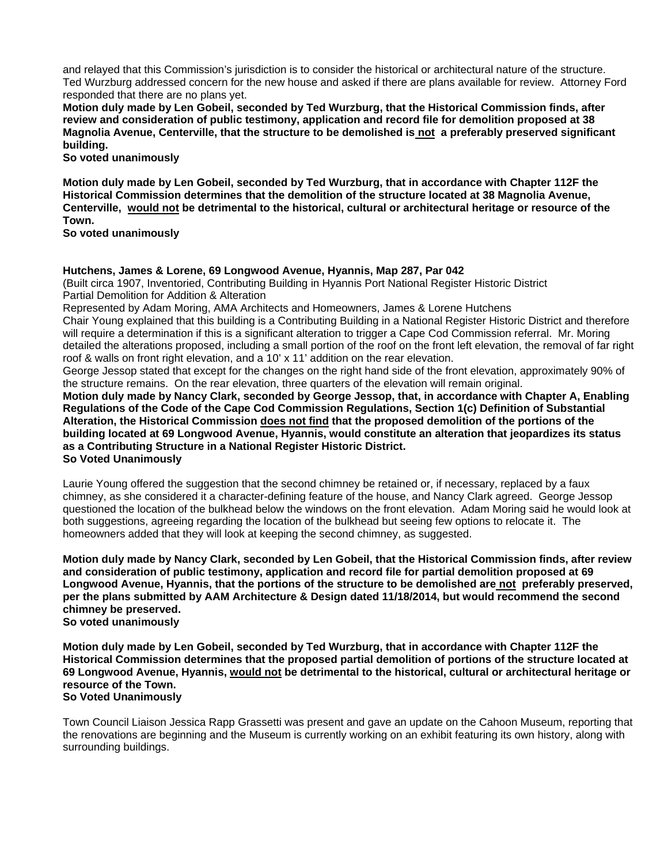and relayed that this Commission's jurisdiction is to consider the historical or architectural nature of the structure. Ted Wurzburg addressed concern for the new house and asked if there are plans available for review. Attorney Ford responded that there are no plans yet.

**Motion duly made by Len Gobeil, seconded by Ted Wurzburg, that the Historical Commission finds, after review and consideration of public testimony, application and record file for demolition proposed at 38 Magnolia Avenue, Centerville, that the structure to be demolished is not a preferably preserved significant building.** 

**So voted unanimously**

**Motion duly made by Len Gobeil, seconded by Ted Wurzburg, that in accordance with Chapter 112F the Historical Commission determines that the demolition of the structure located at 38 Magnolia Avenue, Centerville, would not be detrimental to the historical, cultural or architectural heritage or resource of the Town.** 

**So voted unanimously**

## **Hutchens, James & Lorene, 69 Longwood Avenue, Hyannis, Map 287, Par 042**

(Built circa 1907, Inventoried, Contributing Building in Hyannis Port National Register Historic District Partial Demolition for Addition & Alteration

Represented by Adam Moring, AMA Architects and Homeowners, James & Lorene Hutchens Chair Young explained that this building is a Contributing Building in a National Register Historic District and therefore will require a determination if this is a significant alteration to trigger a Cape Cod Commission referral. Mr. Moring detailed the alterations proposed, including a small portion of the roof on the front left elevation, the removal of far right roof & walls on front right elevation, and a 10' x 11' addition on the rear elevation.

George Jessop stated that except for the changes on the right hand side of the front elevation, approximately 90% of the structure remains. On the rear elevation, three quarters of the elevation will remain original.

**Motion duly made by Nancy Clark, seconded by George Jessop, that, in accordance with Chapter A, Enabling Regulations of the Code of the Cape Cod Commission Regulations, Section 1(c) Definition of Substantial Alteration, the Historical Commission does not find that the proposed demolition of the portions of the building located at 69 Longwood Avenue, Hyannis, would constitute an alteration that jeopardizes its status as a Contributing Structure in a National Register Historic District. So Voted Unanimously**

Laurie Young offered the suggestion that the second chimney be retained or, if necessary, replaced by a faux chimney, as she considered it a character-defining feature of the house, and Nancy Clark agreed. George Jessop questioned the location of the bulkhead below the windows on the front elevation. Adam Moring said he would look at both suggestions, agreeing regarding the location of the bulkhead but seeing few options to relocate it. The homeowners added that they will look at keeping the second chimney, as suggested.

**Motion duly made by Nancy Clark, seconded by Len Gobeil, that the Historical Commission finds, after review and consideration of public testimony, application and record file for partial demolition proposed at 69 Longwood Avenue, Hyannis, that the portions of the structure to be demolished are not preferably preserved, per the plans submitted by AAM Architecture & Design dated 11/18/2014, but would recommend the second chimney be preserved.** 

**So voted unanimously** 

**Motion duly made by Len Gobeil, seconded by Ted Wurzburg, that in accordance with Chapter 112F the Historical Commission determines that the proposed partial demolition of portions of the structure located at 69 Longwood Avenue, Hyannis, would not be detrimental to the historical, cultural or architectural heritage or resource of the Town. So Voted Unanimously**

Town Council Liaison Jessica Rapp Grassetti was present and gave an update on the Cahoon Museum, reporting that the renovations are beginning and the Museum is currently working on an exhibit featuring its own history, along with surrounding buildings.